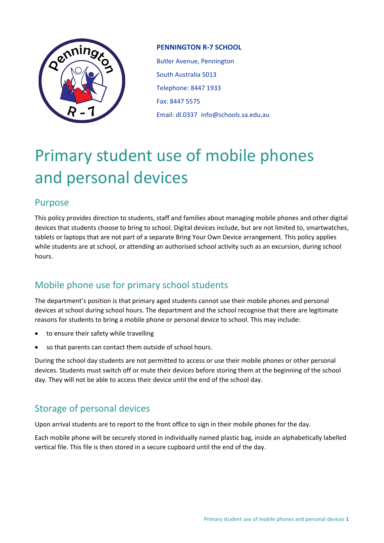

#### **PENNINGTON R-7 SCHOOL**

Butler Avenue, Pennington South Australia 5013 Telephone: 8447 1933 Fax: 8447 5575 Email: dl.0337 info@schools.sa.edu.au

# Primary student use of mobile phones and personal devices

## Purpose

This policy provides direction to students, staff and families about managing mobile phones and other digital devices that students choose to bring to school. Digital devices include, but are not limited to, smartwatches, tablets or laptops that are not part of a separate Bring Your Own Device arrangement. This policy applies while students are at school, or attending an authorised school activity such as an excursion, during school hours.

# Mobile phone use for primary school students

The department's position is that primary aged students cannot use their mobile phones and personal devices at school during school hours. The department and the school recognise that there are legitimate reasons for students to bring a mobile phone or personal device to school. This may include:

- to ensure their safety while travelling
- so that parents can contact them outside of school hours.

During the school day students are not permitted to access or use their mobile phones or other personal devices. Students must switch off or mute their devices before storing them at the beginning of the school day. They will not be able to access their device until the end of the school day.

# Storage of personal devices

Upon arrival students are to report to the front office to sign in their mobile phones for the day.

Each mobile phone will be securely stored in individually named plastic bag, inside an alphabetically labelled vertical file. This file is then stored in a secure cupboard until the end of the day.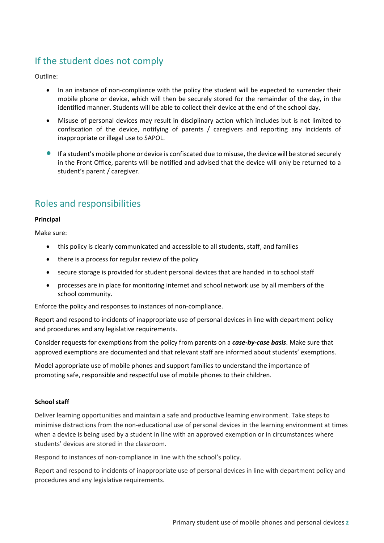# If the student does not comply

Outline:

- In an instance of non-compliance with the policy the student will be expected to surrender their mobile phone or device, which will then be securely stored for the remainder of the day, in the identified manner. Students will be able to collect their device at the end of the school day.
- Misuse of personal devices may result in disciplinary action which includes but is not limited to confiscation of the device, notifying of parents / caregivers and reporting any incidents of inappropriate or illegal use to SAPOL.
- If a student's mobile phone or device is confiscated due to misuse, the device will be stored securely in the Front Office, parents will be notified and advised that the device will only be returned to a student's parent / caregiver.

# Roles and responsibilities

#### **Principal**

Make sure:

- this policy is clearly communicated and accessible to all students, staff, and families
- there is a process for regular review of the policy
- secure storage is provided for student personal devices that are handed in to school staff
- processes are in place for monitoring internet and school network use by all members of the school community.

Enforce the policy and responses to instances of non-compliance.

Report and respond to incidents of inappropriate use of personal devices in line with department policy and procedures and any legislative requirements.

Consider requests for exemptions from the policy from parents on a *case-by-case basis*. Make sure that approved exemptions are documented and that relevant staff are informed about students' exemptions.

Model appropriate use of mobile phones and support families to understand the importance of promoting safe, responsible and respectful use of mobile phones to their children.

#### **School staff**

Deliver learning opportunities and maintain a safe and productive learning environment. Take steps to minimise distractions from the non-educational use of personal devices in the learning environment at times when a device is being used by a student in line with an approved exemption or in circumstances where students' devices are stored in the classroom.

Respond to instances of non-compliance in line with the school's policy.

Report and respond to incidents of inappropriate use of personal devices in line with department policy and procedures and any legislative requirements.